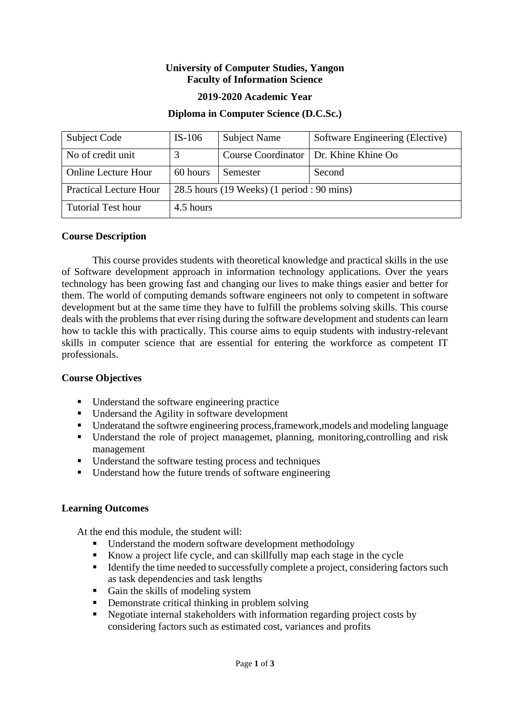## **University of Computer Studies, Yangon Faculty of Information Science**

## **2019-2020 Academic Year**

## **Diploma in Computer Science (D.C.Sc.)**

| Subject Code                  | $IS-106$                                   | <b>Subject Name</b> | Software Engineering (Elective)         |  |
|-------------------------------|--------------------------------------------|---------------------|-----------------------------------------|--|
| No of credit unit             |                                            |                     | Course Coordinator   Dr. Khine Khine Oo |  |
| <b>Online Lecture Hour</b>    | 60 hours                                   | Semester            | Second                                  |  |
| <b>Practical Lecture Hour</b> | 28.5 hours (19 Weeks) (1 period : 90 mins) |                     |                                         |  |
| <b>Tutorial Test hour</b>     | 4.5 hours                                  |                     |                                         |  |

#### **Course Description**

This course provides students with theoretical knowledge and practical skills in the use of Software development approach in information technology applications. Over the years technology has been growing fast and changing our lives to make things easier and better for them. The world of computing demands software engineers not only to competent in software development but at the same time they have to fulfill the problems solving skills. This course deals with the problems that ever rising during the software development and students can learn how to tackle this with practically. This course aims to equip students with industry-relevant skills in computer science that are essential for entering the workforce as competent IT professionals.

# **Course Objectives**

- Understand the software engineering practice
- Undersand the Agility in software development
- Underatand the softwre engineering process,framework,models and modeling language
- Understand the role of project managemet, planning, monitoring, controlling and risk management
- Understand the software testing process and techniques
- Understand how the future trends of software engineering

# **Learning Outcomes**

At the end this module, the student will:

- Understand the modern software development methodology
- Know a project life cycle, and can skillfully map each stage in the cycle
- Identify the time needed to successfully complete a project, considering factors such as task dependencies and task lengths
- Gain the skills of modeling system
- **•** Demonstrate critical thinking in problem solving
- Negotiate internal stakeholders with information regarding project costs by considering factors such as estimated cost, variances and profits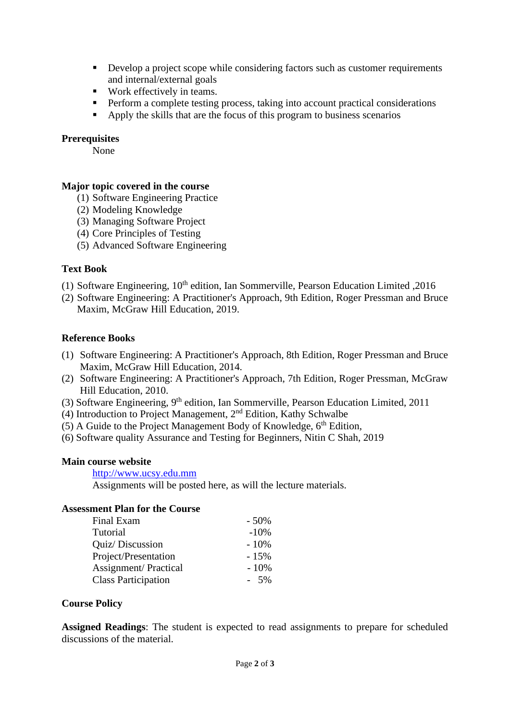- Develop a project scope while considering factors such as customer requirements and internal/external goals
- Work effectively in teams.
- **•** Perform a complete testing process, taking into account practical considerations
- Apply the skills that are the focus of this program to business scenarios

## **Prerequisites**

None

# **Major topic covered in the course**

- (1) Software Engineering Practice
- (2) Modeling Knowledge
- (3) Managing Software Project
- (4) Core Principles of Testing
- (5) Advanced Software Engineering

## **Text Book**

- (1) Software Engineering,  $10<sup>th</sup>$  edition, Ian Sommerville, Pearson Education Limited ,2016
- (2) Software Engineering: A Practitioner's Approach, 9th Edition, Roger Pressman and Bruce Maxim, McGraw Hill Education, 2019.

## **Reference Books**

- (1) Software Engineering: A Practitioner's Approach, 8th Edition, Roger Pressman and Bruce Maxim, McGraw Hill Education, 2014.
- (2) Software Engineering: A Practitioner's Approach, 7th Edition, Roger Pressman, McGraw Hill Education, 2010.
- (3) Software Engineering, 9<sup>th</sup> edition, Ian Sommerville, Pearson Education Limited, 2011
- (4) Introduction to Project Management, 2nd Edition, Kathy Schwalbe
- (5) A Guide to the Project Management Body of Knowledge,  $6<sup>th</sup>$  Edition,
- (6) Software quality Assurance and Testing for Beginners, Nitin C Shah, 2019

#### **Main course website**

[http://www.ucsy.edu.mm](http://www.ucsy.edu.mm/)

Assignments will be posted here, as will the lecture materials.

## **Assessment Plan for the Course**

| Final Exam                  | $-50\%$ |
|-----------------------------|---------|
| Tutorial                    | $-10%$  |
| Quiz/Discussion             | $-10\%$ |
| Project/Presentation        | $-15%$  |
| <b>Assignment/Practical</b> | $-10%$  |
| <b>Class Participation</b>  | $-5\%$  |

#### **Course Policy**

**Assigned Readings**: The student is expected to read assignments to prepare for scheduled discussions of the material.